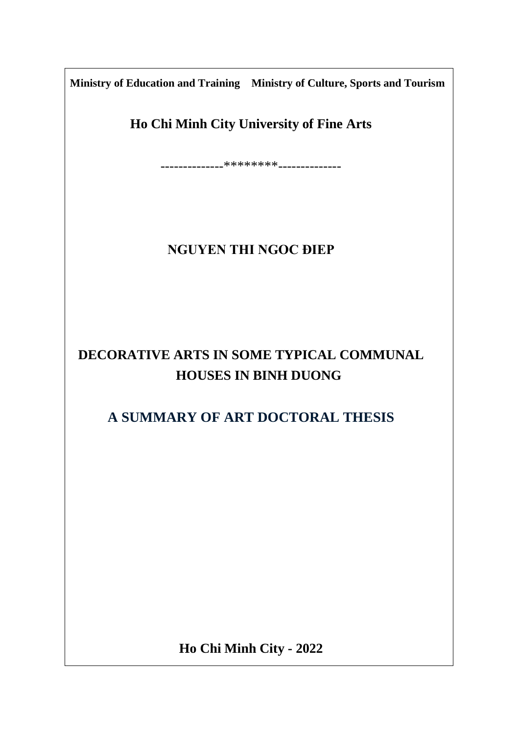**Ministry of Education and Training Ministry of Culture, Sports and Tourism**

**Ho Chi Minh City University of Fine Arts**

--------------\*\*\*\*\*\*\*\*--------------

## **NGUYEN THI NGOC ĐIEP**

# **DECORATIVE ARTS IN SOME TYPICAL COMMUNAL HOUSES IN BINH DUONG**

## **A SUMMARY OF ART DOCTORAL THESIS**

**Ho Chi Minh City - 2022**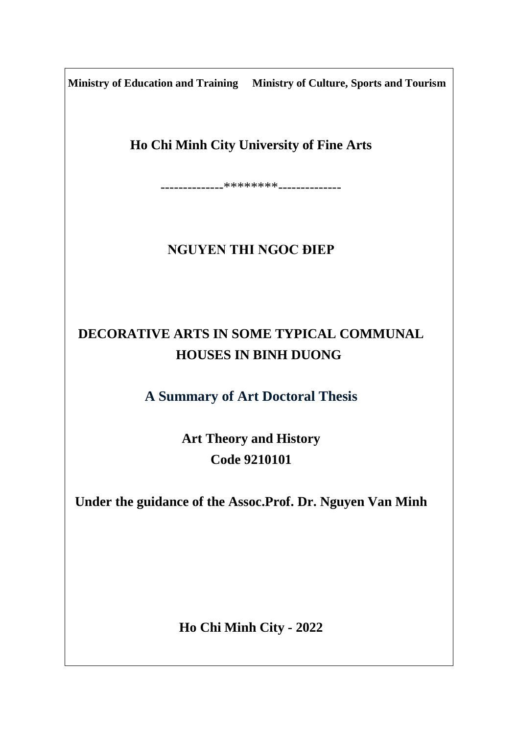**Ministry of Education and Training Ministry of Culture, Sports and Tourism**

**Ho Chi Minh City University of Fine Arts**

--------------\*\*\*\*\*\*\*\*--------------

## **NGUYEN THI NGOC ĐIEP**

# **DECORATIVE ARTS IN SOME TYPICAL COMMUNAL HOUSES IN BINH DUONG**

**A Summary of Art Doctoral Thesis**

**Art Theory and History Code 9210101**

**Under the guidance of the Assoc.Prof. Dr. Nguyen Van Minh**

**Ho Chi Minh City - 2022**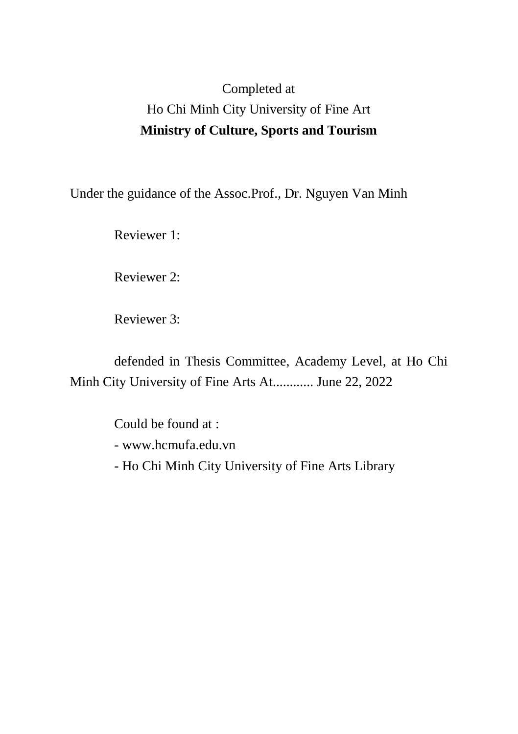# Completed at Ho Chi Minh City University of Fine Art **Ministry of Culture, Sports and Tourism**

Under the guidance of the Assoc.Prof., Dr. Nguyen Van Minh

Reviewer 1:

Reviewer 2:

Reviewer 3:

defended in Thesis Committee, Academy Level, at Ho Chi Minh City University of Fine Arts At............ June 22, 2022

> Could be found at : - www.hcmufa.edu.vn - Ho Chi Minh City University of Fine Arts Library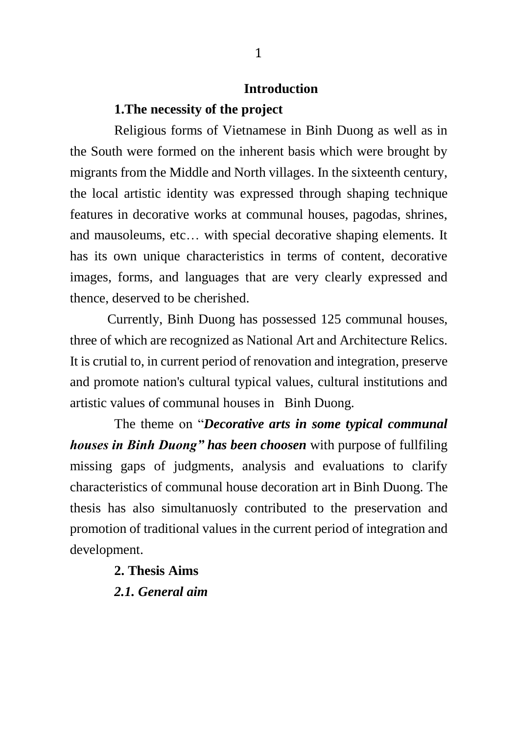## **Introduction**

### **1.The necessity of the project**

Religious forms of Vietnamese in Binh Duong as well as in the South were formed on the inherent basis which were brought by migrants from the Middle and North villages. In the sixteenth century, the local artistic identity was expressed through shaping technique features in decorative works at communal houses, pagodas, shrines, and mausoleums, etc… with special decorative shaping elements. It has its own unique characteristics in terms of content, decorative images, forms, and languages that are very clearly expressed and thence, deserved to be cherished.

 Currently, Binh Duong has possessed 125 communal houses, three of which are recognized as National Art and Architecture Relics. It is crutial to, in current period of renovation and integration, preserve and promote nation's cultural typical values, cultural institutions and artistic values of communal houses in Binh Duong.

The theme on "*Decorative arts in some typical communal houses in Binh Duong" has been choosen* with purpose of fullfiling missing gaps of judgments, analysis and evaluations to clarify characteristics of communal house decoration art in Binh Duong. The thesis has also simultanuosly contributed to the preservation and promotion of traditional values in the current period of integration and development.

#### **2. Thesis Aims**

*2.1. General aim*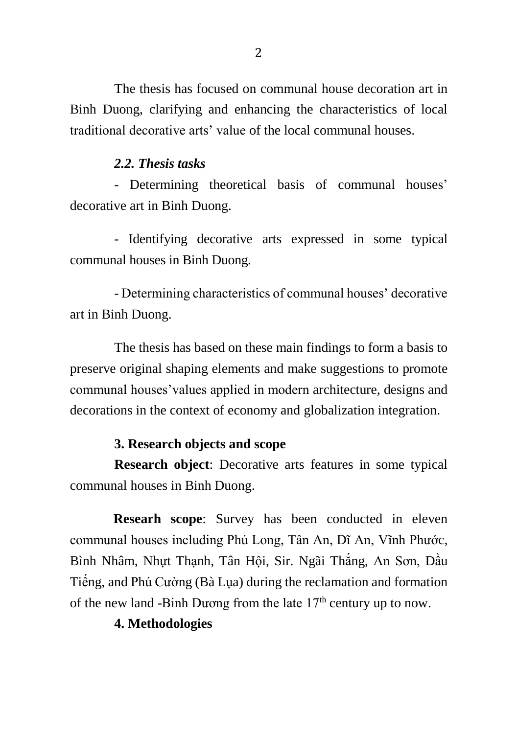The thesis has focused on communal house decoration art in Binh Duong, clarifying and enhancing the characteristics of local traditional decorative arts' value of the local communal houses.

### *2.2. Thesis tasks*

- Determining theoretical basis of communal houses' decorative art in Binh Duong.

- Identifying decorative arts expressed in some typical communal houses in Binh Duong.

- Determining characteristics of communal houses' decorative art in Binh Duong.

The thesis has based on these main findings to form a basis to preserve original shaping elements and make suggestions to promote communal houses'values applied in modern architecture, designs and decorations in the context of economy and globalization integration.

### **3. Research objects and scope**

**Research object**: Decorative arts features in some typical communal houses in Binh Duong.

**Researh scope**: Survey has been conducted in eleven communal houses including Phú Long, Tân An, Dĩ An, Vĩnh Phước, Bình Nhâm, Nhựt Thạnh, Tân Hội, Sir. Ngãi Thắng, An Sơn, Dầu Tiếng, and Phú Cường (Bà Lụa) during the reclamation and formation of the new land -Binh Dương from the late  $17<sup>th</sup>$  century up to now.

### **4. Methodologies**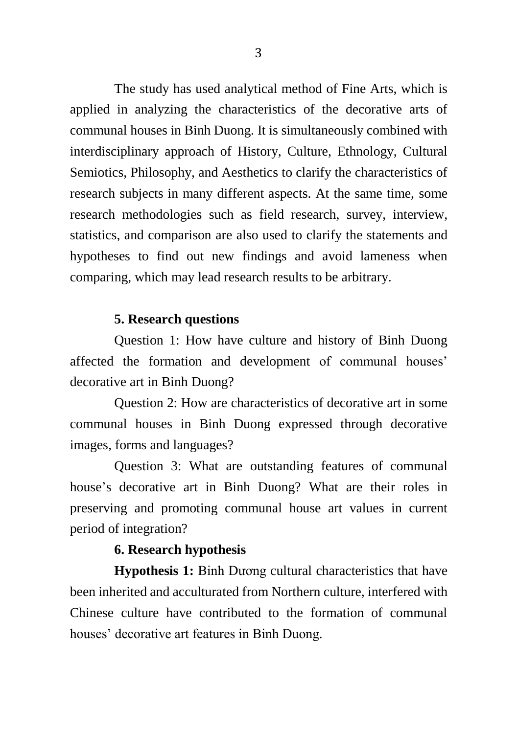The study has used analytical method of Fine Arts, which is applied in analyzing the characteristics of the decorative arts of communal houses in Binh Duong. It is simultaneously combined with interdisciplinary approach of History, Culture, Ethnology, Cultural Semiotics, Philosophy, and Aesthetics to clarify the characteristics of research subjects in many different aspects. At the same time, some research methodologies such as field research, survey, interview, statistics, and comparison are also used to clarify the statements and hypotheses to find out new findings and avoid lameness when comparing, which may lead research results to be arbitrary.

### **5. Research questions**

Question 1: How have culture and history of Binh Duong affected the formation and development of communal houses' decorative art in Binh Duong?

Question 2: How are characteristics of decorative art in some communal houses in Binh Duong expressed through decorative images, forms and languages?

Question 3: What are outstanding features of communal house's decorative art in Binh Duong? What are their roles in preserving and promoting communal house art values in current period of integration?

### **6. Research hypothesis**

**Hypothesis 1:** Binh Dương cultural characteristics that have been inherited and acculturated from Northern culture, interfered with Chinese culture have contributed to the formation of communal houses' decorative art features in Binh Duong.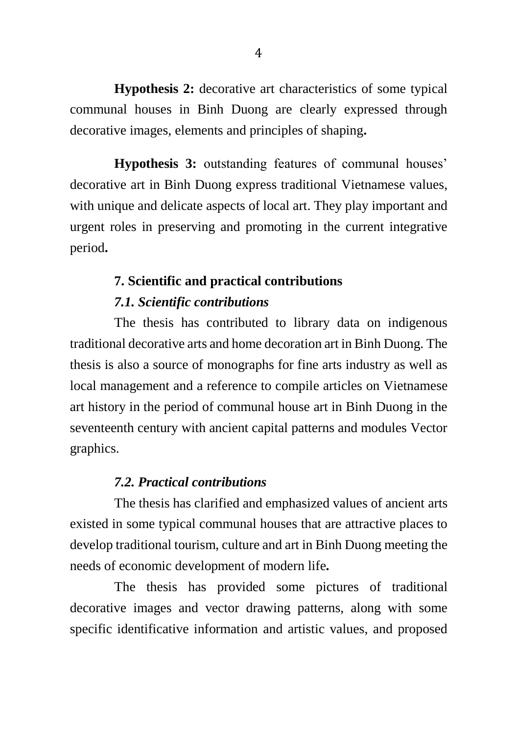**Hypothesis 2:** decorative art characteristics of some typical communal houses in Binh Duong are clearly expressed through decorative images, elements and principles of shaping**.**

**Hypothesis 3:** outstanding features of communal houses' decorative art in Binh Duong express traditional Vietnamese values, with unique and delicate aspects of local art. They play important and urgent roles in preserving and promoting in the current integrative period**.**

# **7. Scientific and practical contributions**  *7.1. Scientific contributions*

The thesis has contributed to library data on indigenous traditional decorative arts and home decoration art in Binh Duong. The thesis is also a source of monographs for fine arts industry as well as local management and a reference to compile articles on Vietnamese art history in the period of communal house art in Binh Duong in the seventeenth century with ancient capital patterns and modules Vector graphics.

### *7.2. Practical contributions*

The thesis has clarified and emphasized values of ancient arts existed in some typical communal houses that are attractive places to develop traditional tourism, culture and art in Binh Duong meeting the needs of economic development of modern life*.*

The thesis has provided some pictures of traditional decorative images and vector drawing patterns, along with some specific identificative information and artistic values, and proposed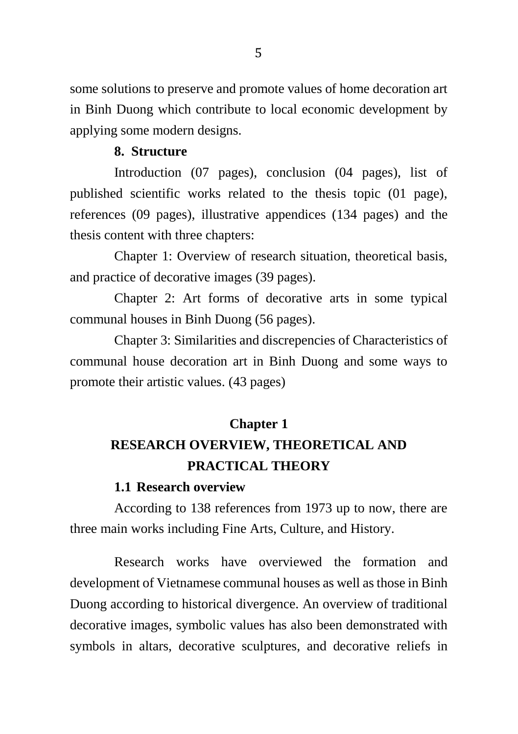some solutions to preserve and promote values of home decoration art in Binh Duong which contribute to local economic development by applying some modern designs.

### **8. Structure**

Introduction (07 pages), conclusion (04 pages), list of published scientific works related to the thesis topic (01 page), references (09 pages), illustrative appendices (134 pages) and the thesis content with three chapters:

Chapter 1: Overview of research situation, theoretical basis, and practice of decorative images (39 pages).

Chapter 2: Art forms of decorative arts in some typical communal houses in Binh Duong (56 pages).

Chapter 3: Similarities and discrepencies of Characteristics of communal house decoration art in Binh Duong and some ways to promote their artistic values. (43 pages)

### **Chapter 1**

# **RESEARCH OVERVIEW, THEORETICAL AND PRACTICAL THEORY**

#### **1.1 Research overview**

According to 138 references from 1973 up to now, there are three main works including Fine Arts, Culture, and History.

Research works have overviewed the formation and development of Vietnamese communal houses as well as those in Binh Duong according to historical divergence. An overview of traditional decorative images, symbolic values has also been demonstrated with symbols in altars, decorative sculptures, and decorative reliefs in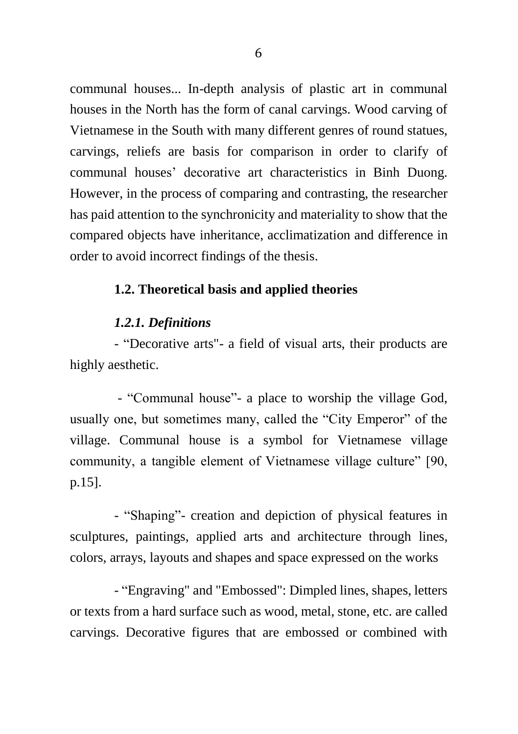communal houses... In-depth analysis of plastic art in communal houses in the North has the form of canal carvings. Wood carving of Vietnamese in the South with many different genres of round statues, carvings, reliefs are basis for comparison in order to clarify of communal houses' decorative art characteristics in Binh Duong. However, in the process of comparing and contrasting, the researcher has paid attention to the synchronicity and materiality to show that the compared objects have inheritance, acclimatization and difference in order to avoid incorrect findings of the thesis.

### **1.2. Theoretical basis and applied theories**

#### *1.2.1. Definitions*

- "Decorative arts"- a field of visual arts, their products are highly aesthetic.

- "Communal house"- a place to worship the village God, usually one, but sometimes many, called the "City Emperor" of the village. Communal house is a symbol for Vietnamese village community, a tangible element of Vietnamese village culture" [90, p.15].

- "Shaping"- creation and depiction of physical features in sculptures, paintings, applied arts and architecture through lines, colors, arrays, layouts and shapes and space expressed on the works

- "Engraving" and "Embossed": Dimpled lines, shapes, letters or texts from a hard surface such as wood, metal, stone, etc. are called carvings. Decorative figures that are embossed or combined with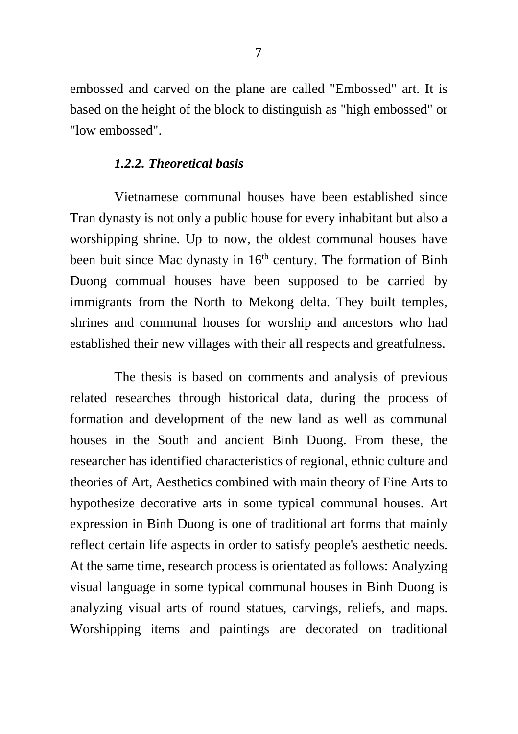embossed and carved on the plane are called "Embossed" art. It is based on the height of the block to distinguish as "high embossed" or "low embossed".

#### *1.2.2. Theoretical basis*

Vietnamese communal houses have been established since Tran dynasty is not only a public house for every inhabitant but also a worshipping shrine. Up to now, the oldest communal houses have been buit since Mac dynasty in  $16<sup>th</sup>$  century. The formation of Binh Duong commual houses have been supposed to be carried by immigrants from the North to Mekong delta. They built temples, shrines and communal houses for worship and ancestors who had established their new villages with their all respects and greatfulness.

The thesis is based on comments and analysis of previous related researches through historical data, during the process of formation and development of the new land as well as communal houses in the South and ancient Binh Duong. From these, the researcher has identified characteristics of regional, ethnic culture and theories of Art, Aesthetics combined with main theory of Fine Arts to hypothesize decorative arts in some typical communal houses. Art expression in Binh Duong is one of traditional art forms that mainly reflect certain life aspects in order to satisfy people's aesthetic needs. At the same time, research process is orientated as follows: Analyzing visual language in some typical communal houses in Binh Duong is analyzing visual arts of round statues, carvings, reliefs, and maps. Worshipping items and paintings are decorated on traditional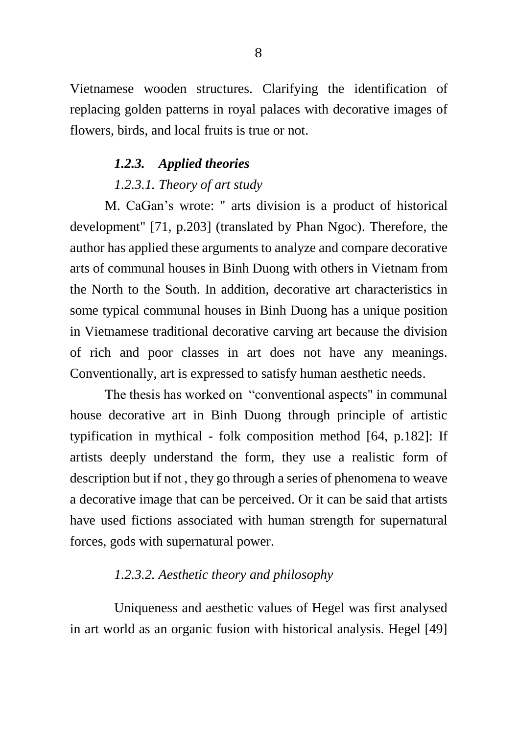Vietnamese wooden structures. Clarifying the identification of replacing golden patterns in royal palaces with decorative images of flowers, birds, and local fruits is true or not.

### *1.2.3. Applied theories*

### *1.2.3.1. Theory of art study*

M. CaGan's wrote: " arts division is a product of historical development" [71, p.203] (translated by Phan Ngoc). Therefore, the author has applied these arguments to analyze and compare decorative arts of communal houses in Binh Duong with others in Vietnam from the North to the South. In addition, decorative art characteristics in some typical communal houses in Binh Duong has a unique position in Vietnamese traditional decorative carving art because the division of rich and poor classes in art does not have any meanings. Conventionally, art is expressed to satisfy human aesthetic needs.

The thesis has worked on "conventional aspects" in communal house decorative art in Binh Duong through principle of artistic typification in mythical - folk composition method [64, p.182]: If artists deeply understand the form, they use a realistic form of description but if not , they go through a series of phenomena to weave a decorative image that can be perceived. Or it can be said that artists have used fictions associated with human strength for supernatural forces, gods with supernatural power.

#### *1.2.3.2. Aesthetic theory and philosophy*

Uniqueness and aesthetic values of Hegel was first analysed in art world as an organic fusion with historical analysis. Hegel [49]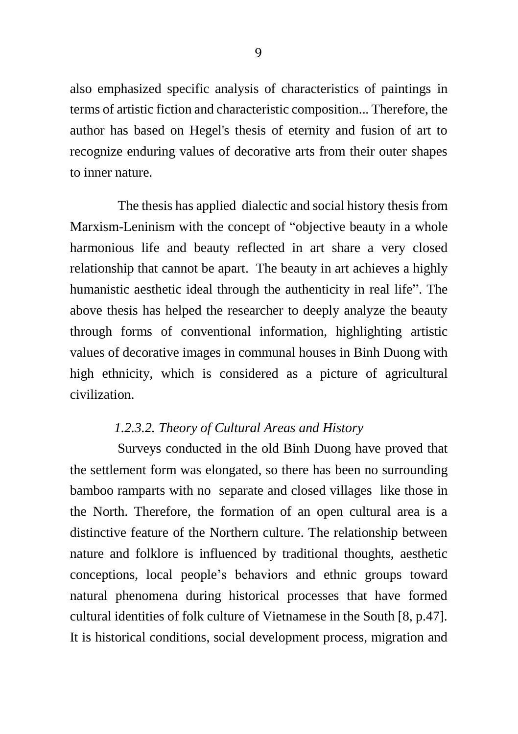also emphasized specific analysis of characteristics of paintings in terms of artistic fiction and characteristic composition... Therefore, the author has based on Hegel's thesis of eternity and fusion of art to recognize enduring values of decorative arts from their outer shapes to inner nature.

The thesis has applied dialectic and social history thesis from Marxism-Leninism with the concept of "objective beauty in a whole harmonious life and beauty reflected in art share a very closed relationship that cannot be apart. The beauty in art achieves a highly humanistic aesthetic ideal through the authenticity in real life". The above thesis has helped the researcher to deeply analyze the beauty through forms of conventional information, highlighting artistic values of decorative images in communal houses in Binh Duong with high ethnicity, which is considered as a picture of agricultural civilization.

## *1.2.3.2. Theory of Cultural Areas and History*

Surveys conducted in the old Binh Duong have proved that the settlement form was elongated, so there has been no surrounding bamboo ramparts with no separate and closed villages like those in the North. Therefore, the formation of an open cultural area is a distinctive feature of the Northern culture. The relationship between nature and folklore is influenced by traditional thoughts, aesthetic conceptions, local people's behaviors and ethnic groups toward natural phenomena during historical processes that have formed cultural identities of folk culture of Vietnamese in the South [8, p.47]. It is historical conditions, social development process, migration and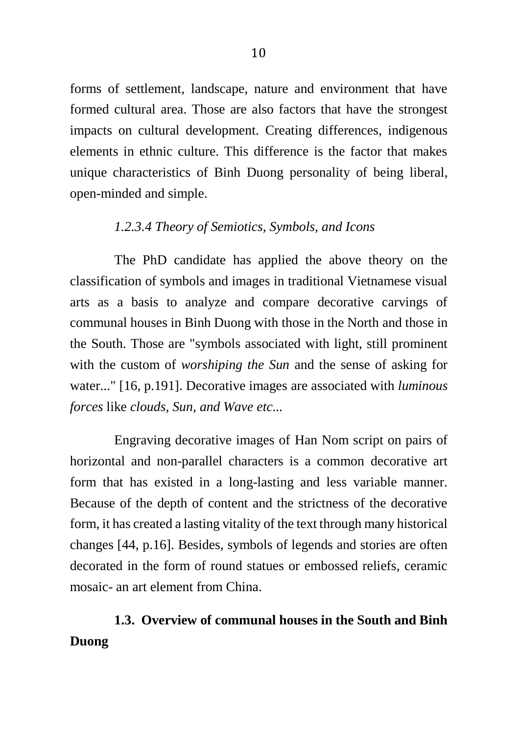forms of settlement, landscape, nature and environment that have formed cultural area. Those are also factors that have the strongest impacts on cultural development. Creating differences, indigenous elements in ethnic culture. This difference is the factor that makes unique characteristics of Binh Duong personality of being liberal, open-minded and simple.

## *1.2.3.4 Theory of Semiotics, Symbols, and Icons*

The PhD candidate has applied the above theory on the classification of symbols and images in traditional Vietnamese visual arts as a basis to analyze and compare decorative carvings of communal houses in Binh Duong with those in the North and those in the South. Those are "symbols associated with light, still prominent with the custom of *worshiping the Sun* and the sense of asking for water..." [16, p.191]. Decorative images are associated with *luminous forces* like *clouds, Sun, and Wave etc...*

Engraving decorative images of Han Nom script on pairs of horizontal and non-parallel characters is a common decorative art form that has existed in a long-lasting and less variable manner. Because of the depth of content and the strictness of the decorative form, it has created a lasting vitality of the text through many historical changes [44, p.16]. Besides, symbols of legends and stories are often decorated in the form of round statues or embossed reliefs, ceramic mosaic- an art element from China.

# **1.3. Overview of communal houses in the South and Binh Duong**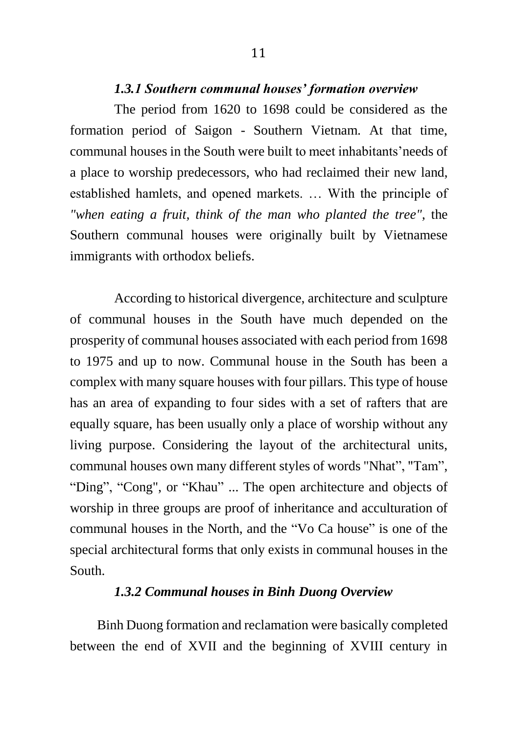### *1.3.1 Southern communal houses' formation overview*

The period from 1620 to 1698 could be considered as the formation period of Saigon - Southern Vietnam. At that time, communal houses in the South were built to meet inhabitants'needs of a place to worship predecessors, who had reclaimed their new land, established hamlets, and opened markets. … With the principle of *"when eating a fruit, think of the man who planted the tree",* the Southern communal houses were originally built by Vietnamese immigrants with orthodox beliefs.

According to historical divergence, architecture and sculpture of communal houses in the South have much depended on the prosperity of communal houses associated with each period from 1698 to 1975 and up to now. Communal house in the South has been a complex with many square houses with four pillars. This type of house has an area of expanding to four sides with a set of rafters that are equally square, has been usually only a place of worship without any living purpose. Considering the layout of the architectural units, communal houses own many different styles of words "Nhat", "Tam", "Ding", "Cong", or "Khau" ... The open architecture and objects of worship in three groups are proof of inheritance and acculturation of communal houses in the North, and the "Vo Ca house" is one of the special architectural forms that only exists in communal houses in the South.

### *1.3.2 Communal houses in Binh Duong Overview*

 Binh Duong formation and reclamation were basically completed between the end of XVII and the beginning of XVIII century in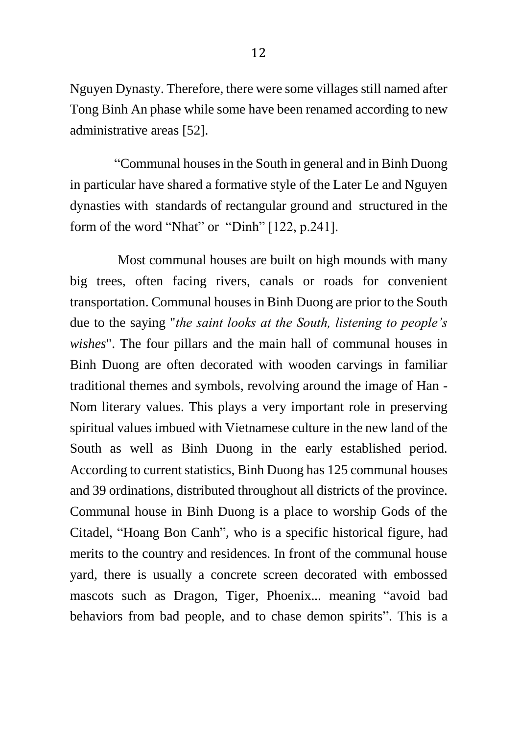Nguyen Dynasty. Therefore, there were some villages still named after Tong Binh An phase while some have been renamed according to new administrative areas [52].

"Communal houses in the South in general and in Binh Duong in particular have shared a formative style of the Later Le and Nguyen dynasties with standards of rectangular ground and structured in the form of the word "Nhat" or "Dinh" [122, p.241].

 Most communal houses are built on high mounds with many big trees, often facing rivers, canals or roads for convenient transportation. Communal houses in Binh Duong are prior to the South due to the saying "*the saint looks at the South, listening to people's wishes*". The four pillars and the main hall of communal houses in Binh Duong are often decorated with wooden carvings in familiar traditional themes and symbols, revolving around the image of Han - Nom literary values. This plays a very important role in preserving spiritual values imbued with Vietnamese culture in the new land of the South as well as Binh Duong in the early established period. According to current statistics, Binh Duong has 125 communal houses and 39 ordinations, distributed throughout all districts of the province. Communal house in Binh Duong is a place to worship Gods of the Citadel, "Hoang Bon Canh", who is a specific historical figure, had merits to the country and residences. In front of the communal house yard, there is usually a concrete screen decorated with embossed mascots such as Dragon, Tiger, Phoenix... meaning "avoid bad behaviors from bad people, and to chase demon spirits". This is a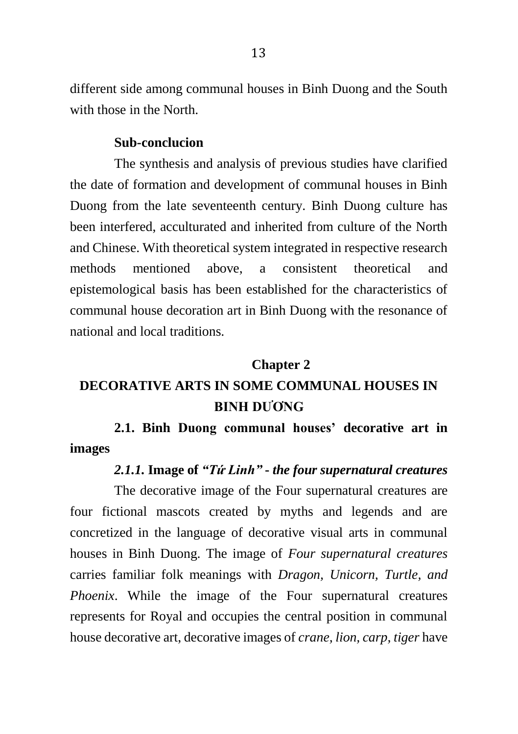different side among communal houses in Binh Duong and the South with those in the North.

#### **Sub-conclucion**

The synthesis and analysis of previous studies have clarified the date of formation and development of communal houses in Binh Duong from the late seventeenth century. Binh Duong culture has been interfered, acculturated and inherited from culture of the North and Chinese. With theoretical system integrated in respective research methods mentioned above, a consistent theoretical and epistemological basis has been established for the characteristics of communal house decoration art in Binh Duong with the resonance of national and local traditions.

#### **Chapter 2**

## **DECORATIVE ARTS IN SOME COMMUNAL HOUSES IN BINH DƯƠNG**

**2.1. Binh Duong communal houses' decorative art in images**

## *2.1.1.* **Image of** *"Tứ Linh"* **-** *the four supernatural creatures*

The decorative image of the Four supernatural creatures are four fictional mascots created by myths and legends and are concretized in the language of decorative visual arts in communal houses in Binh Duong. The image of *Four supernatural creatures* carries familiar folk meanings with *Dragon, Unicorn, Turtle, and Phoenix*. While the image of the Four supernatural creatures represents for Royal and occupies the central position in communal house decorative art, decorative images of *crane, lion, carp, tiger* have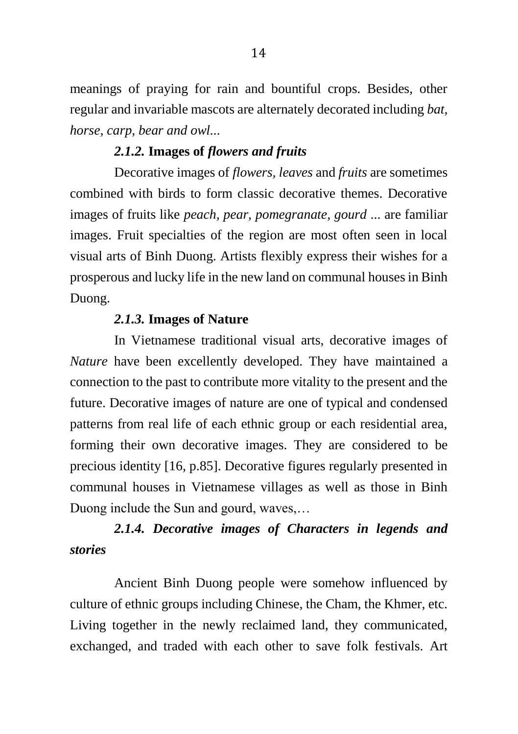meanings of praying for rain and bountiful crops. Besides, other regular and invariable mascots are alternately decorated including *bat, horse, carp, bear and owl...*

## *2.1.2.* **Images of** *flowers and fruits*

Decorative images of *flowers, leaves* and *fruits* are sometimes combined with birds to form classic decorative themes. Decorative images of fruits like *peach, pear, pomegranate, gourd* ... are familiar images. Fruit specialties of the region are most often seen in local visual arts of Binh Duong. Artists flexibly express their wishes for a prosperous and lucky life in the new land on communal houses in Binh Duong.

## *2.1.3.* **Images of Nature**

In Vietnamese traditional visual arts, decorative images of *Nature* have been excellently developed. They have maintained a connection to the past to contribute more vitality to the present and the future. Decorative images of nature are one of typical and condensed patterns from real life of each ethnic group or each residential area, forming their own decorative images. They are considered to be precious identity [16, p.85]. Decorative figures regularly presented in communal houses in Vietnamese villages as well as those in Binh Duong include the Sun and gourd, waves,…

# *2.1.4. Decorative images of Characters in legends and stories*

Ancient Binh Duong people were somehow influenced by culture of ethnic groups including Chinese, the Cham, the Khmer, etc. Living together in the newly reclaimed land, they communicated, exchanged, and traded with each other to save folk festivals. Art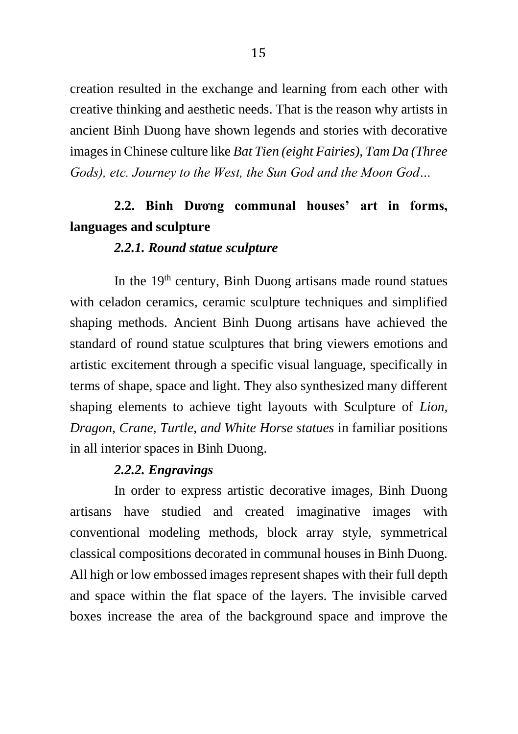creation resulted in the exchange and learning from each other with creative thinking and aesthetic needs. That is the reason why artists in ancient Binh Duong have shown legends and stories with decorative images in Chinese culture like *Bat Tien (eight Fairies), Tam Da (Three Gods), etc. Journey to the West, the Sun God and the Moon God…*

## **2.2. Binh Dương communal houses' art in forms, languages and sculpture**

#### *2.2.1. Round statue sculpture*

In the  $19<sup>th</sup>$  century, Binh Duong artisans made round statues with celadon ceramics, ceramic sculpture techniques and simplified shaping methods. Ancient Binh Duong artisans have achieved the standard of round statue sculptures that bring viewers emotions and artistic excitement through a specific visual language, specifically in terms of shape, space and light. They also synthesized many different shaping elements to achieve tight layouts with Sculpture of *Lion, Dragon, Crane, Turtle, and White Horse statues* in familiar positions in all interior spaces in Binh Duong.

### *2.2.2. Engravings*

In order to express artistic decorative images, Binh Duong artisans have studied and created imaginative images with conventional modeling methods, block array style, symmetrical classical compositions decorated in communal houses in Binh Duong. All high or low embossed images represent shapes with their full depth and space within the flat space of the layers. The invisible carved boxes increase the area of the background space and improve the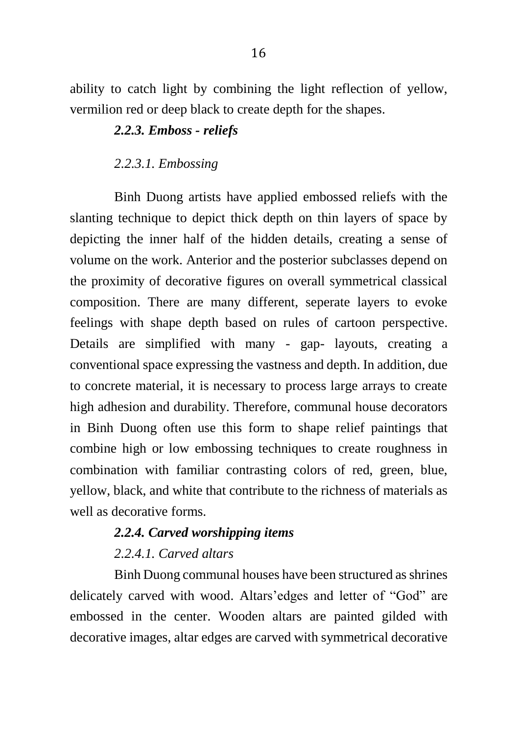ability to catch light by combining the light reflection of yellow, vermilion red or deep black to create depth for the shapes.

## *2.2.3. Emboss - reliefs*

#### *2.2.3.1. Embossing*

Binh Duong artists have applied embossed reliefs with the slanting technique to depict thick depth on thin layers of space by depicting the inner half of the hidden details, creating a sense of volume on the work. Anterior and the posterior subclasses depend on the proximity of decorative figures on overall symmetrical classical composition. There are many different, seperate layers to evoke feelings with shape depth based on rules of cartoon perspective. Details are simplified with many - gap- layouts, creating a conventional space expressing the vastness and depth. In addition, due to concrete material, it is necessary to process large arrays to create high adhesion and durability. Therefore, communal house decorators in Binh Duong often use this form to shape relief paintings that combine high or low embossing techniques to create roughness in combination with familiar contrasting colors of red, green, blue, yellow, black, and white that contribute to the richness of materials as well as decorative forms.

## *2.2.4. Carved worshipping items*

## *2.2.4.1. Carved altars*

Binh Duong communal houses have been structured as shrines delicately carved with wood. Altars'edges and letter of "God" are embossed in the center. Wooden altars are painted gilded with decorative images, altar edges are carved with symmetrical decorative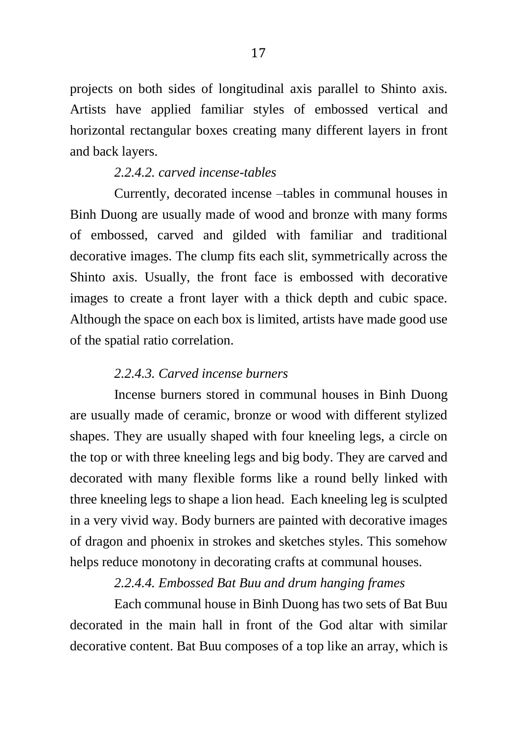projects on both sides of longitudinal axis parallel to Shinto axis. Artists have applied familiar styles of embossed vertical and horizontal rectangular boxes creating many different layers in front and back layers.

#### *2.2.4.2. carved incense-tables*

Currently, decorated incense –tables in communal houses in Binh Duong are usually made of wood and bronze with many forms of embossed, carved and gilded with familiar and traditional decorative images. The clump fits each slit, symmetrically across the Shinto axis. Usually, the front face is embossed with decorative images to create a front layer with a thick depth and cubic space. Although the space on each box is limited, artists have made good use of the spatial ratio correlation.

#### *2.2.4.3. Carved incense burners*

Incense burners stored in communal houses in Binh Duong are usually made of ceramic, bronze or wood with different stylized shapes. They are usually shaped with four kneeling legs, a circle on the top or with three kneeling legs and big body. They are carved and decorated with many flexible forms like a round belly linked with three kneeling legs to shape a lion head. Each kneeling leg is sculpted in a very vivid way. Body burners are painted with decorative images of dragon and phoenix in strokes and sketches styles. This somehow helps reduce monotony in decorating crafts at communal houses.

### *2.2.4.4. Embossed Bat Buu and drum hanging frames*

Each communal house in Binh Duong has two sets of Bat Buu decorated in the main hall in front of the God altar with similar decorative content. Bat Buu composes of a top like an array, which is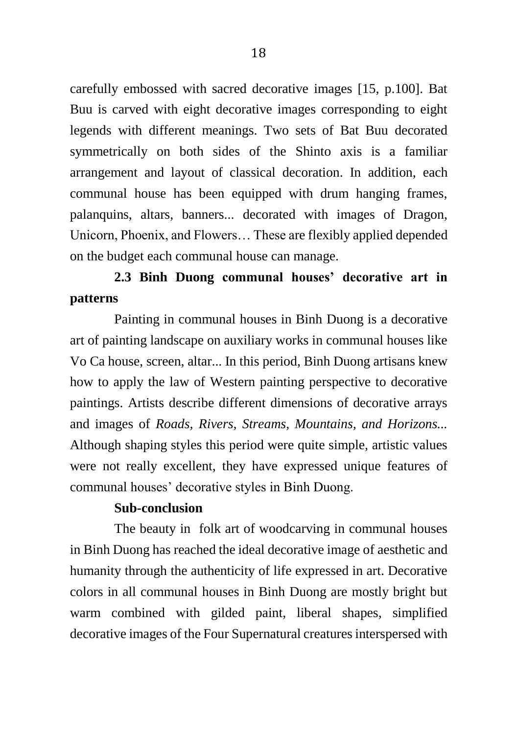carefully embossed with sacred decorative images [15, p.100]. Bat Buu is carved with eight decorative images corresponding to eight legends with different meanings. Two sets of Bat Buu decorated symmetrically on both sides of the Shinto axis is a familiar arrangement and layout of classical decoration. In addition, each communal house has been equipped with drum hanging frames, palanquins, altars, banners... decorated with images of Dragon, Unicorn, Phoenix, and Flowers… These are flexibly applied depended on the budget each communal house can manage.

# **2.3 Binh Duong communal houses' decorative art in patterns**

Painting in communal houses in Binh Duong is a decorative art of painting landscape on auxiliary works in communal houses like Vo Ca house, screen, altar... In this period, Binh Duong artisans knew how to apply the law of Western painting perspective to decorative paintings. Artists describe different dimensions of decorative arrays and images of *Roads, Rivers, Streams, Mountains, and Horizons...* Although shaping styles this period were quite simple, artistic values were not really excellent, they have expressed unique features of communal houses' decorative styles in Binh Duong.

### **Sub-conclusion**

The beauty in folk art of woodcarving in communal houses in Binh Duong has reached the ideal decorative image of aesthetic and humanity through the authenticity of life expressed in art. Decorative colors in all communal houses in Binh Duong are mostly bright but warm combined with gilded paint, liberal shapes, simplified decorative images of the Four Supernatural creatures interspersed with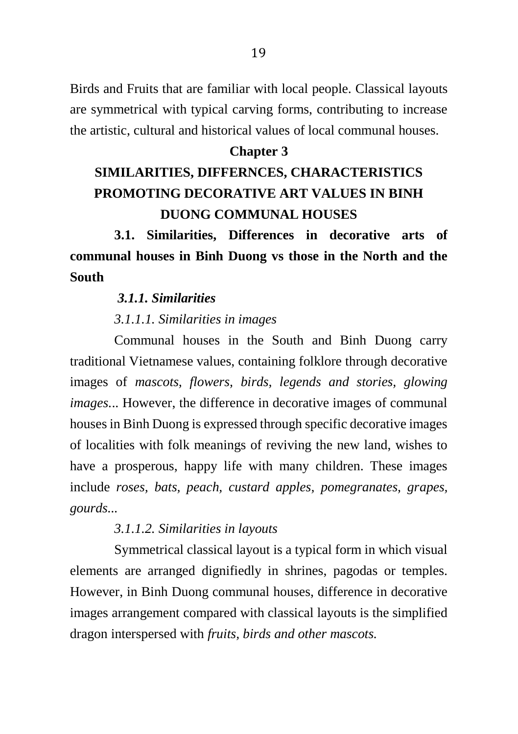Birds and Fruits that are familiar with local people. Classical layouts are symmetrical with typical carving forms, contributing to increase the artistic, cultural and historical values of local communal houses.

#### **Chapter 3**

# **SIMILARITIES, DIFFERNCES, CHARACTERISTICS PROMOTING DECORATIVE ART VALUES IN BINH DUONG COMMUNAL HOUSES**

**3.1. Similarities, Differences in decorative arts of communal houses in Binh Duong vs those in the North and the South**

#### *3.1.1. Similarities*

#### *3.1.1.1. Similarities in images*

Communal houses in the South and Binh Duong carry traditional Vietnamese values, containing folklore through decorative images of *mascots, flowers, birds, legends and stories, glowing images.*.. However, the difference in decorative images of communal houses in Binh Duong is expressed through specific decorative images of localities with folk meanings of reviving the new land, wishes to have a prosperous, happy life with many children. These images include *roses, bats, peach, custard apples, pomegranates, grapes, gourds...*

#### *3.1.1.2. Similarities in layouts*

Symmetrical classical layout is a typical form in which visual elements are arranged dignifiedly in shrines, pagodas or temples. However, in Binh Duong communal houses, difference in decorative images arrangement compared with classical layouts is the simplified dragon interspersed with *fruits, birds and other mascots.*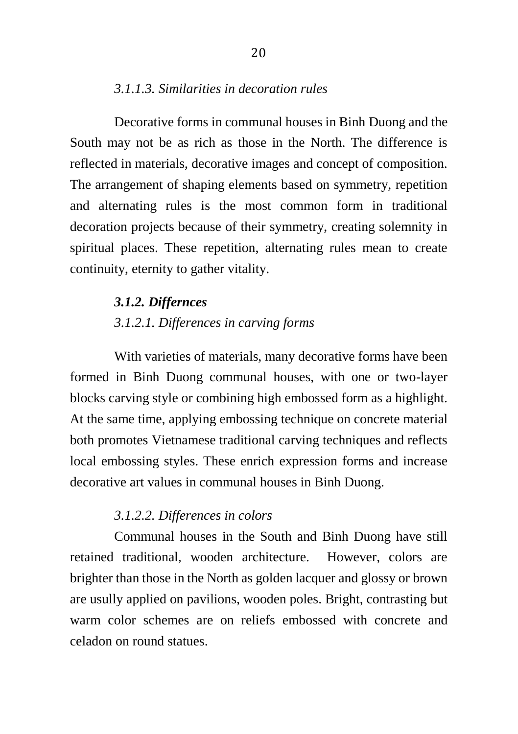### *3.1.1.3. Similarities in decoration rules*

Decorative forms in communal houses in Binh Duong and the South may not be as rich as those in the North. The difference is reflected in materials, decorative images and concept of composition. The arrangement of shaping elements based on symmetry, repetition and alternating rules is the most common form in traditional decoration projects because of their symmetry, creating solemnity in spiritual places. These repetition, alternating rules mean to create continuity, eternity to gather vitality.

### *3.1.2. Differnces*

## *3.1.2.1. Differences in carving forms*

With varieties of materials, many decorative forms have been formed in Binh Duong communal houses, with one or two-layer blocks carving style or combining high embossed form as a highlight. At the same time, applying embossing technique on concrete material both promotes Vietnamese traditional carving techniques and reflects local embossing styles. These enrich expression forms and increase decorative art values in communal houses in Binh Duong.

#### *3.1.2.2. Differences in colors*

Communal houses in the South and Binh Duong have still retained traditional, wooden architecture. However, colors are brighter than those in the North as golden lacquer and glossy or brown are usully applied on pavilions, wooden poles. Bright, contrasting but warm color schemes are on reliefs embossed with concrete and celadon on round statues.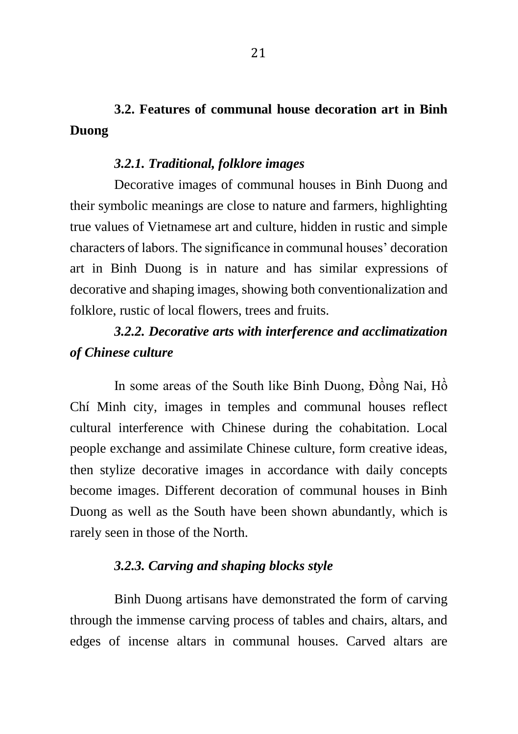## **3.2. Features of communal house decoration art in Binh Duong**

#### *3.2.1. Traditional, folklore images*

Decorative images of communal houses in Binh Duong and their symbolic meanings are close to nature and farmers, highlighting true values of Vietnamese art and culture, hidden in rustic and simple characters of labors. The significance in communal houses' decoration art in Binh Duong is in nature and has similar expressions of decorative and shaping images, showing both conventionalization and folklore, rustic of local flowers, trees and fruits.

## *3.2.2. Decorative arts with interference and acclimatization of Chinese culture*

In some areas of the South like Binh Duong, Đồng Nai, Hồ Chí Minh city, images in temples and communal houses reflect cultural interference with Chinese during the cohabitation. Local people exchange and assimilate Chinese culture, form creative ideas, then stylize decorative images in accordance with daily concepts become images. Different decoration of communal houses in Binh Duong as well as the South have been shown abundantly, which is rarely seen in those of the North.

#### *3.2.3. Carving and shaping blocks style*

Binh Duong artisans have demonstrated the form of carving through the immense carving process of tables and chairs, altars, and edges of incense altars in communal houses. Carved altars are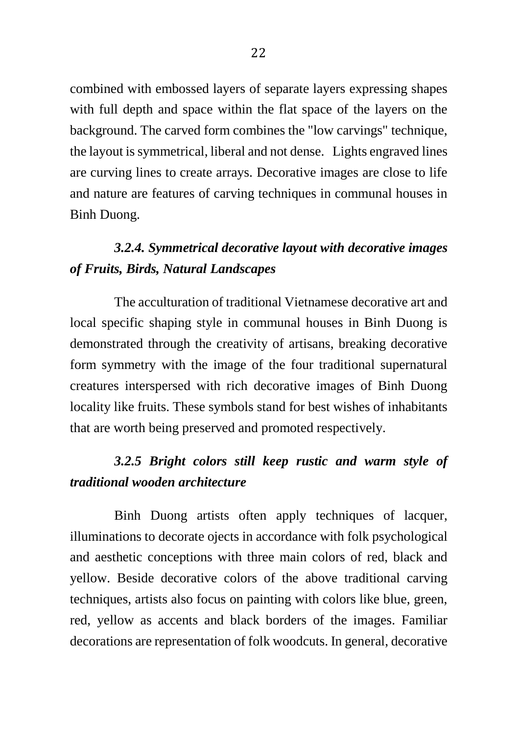combined with embossed layers of separate layers expressing shapes with full depth and space within the flat space of the layers on the background. The carved form combines the "low carvings" technique, the layout is symmetrical, liberal and not dense. Lights engraved lines are curving lines to create arrays. Decorative images are close to life and nature are features of carving techniques in communal houses in Binh Duong.

# *3.2.4. Symmetrical decorative layout with decorative images of Fruits, Birds, Natural Landscapes*

The acculturation of traditional Vietnamese decorative art and local specific shaping style in communal houses in Binh Duong is demonstrated through the creativity of artisans, breaking decorative form symmetry with the image of the four traditional supernatural creatures interspersed with rich decorative images of Binh Duong locality like fruits. These symbols stand for best wishes of inhabitants that are worth being preserved and promoted respectively.

# *3.2.5 Bright colors still keep rustic and warm style of traditional wooden architecture*

Binh Duong artists often apply techniques of lacquer, illuminations to decorate ojects in accordance with folk psychological and aesthetic conceptions with three main colors of red, black and yellow. Beside decorative colors of the above traditional carving techniques, artists also focus on painting with colors like blue, green, red, yellow as accents and black borders of the images. Familiar decorations are representation of folk woodcuts. In general, decorative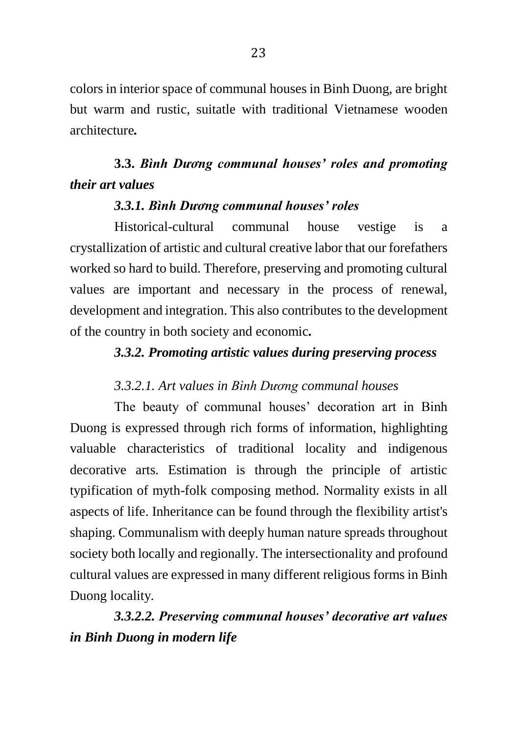colors in interior space of communal houses in Binh Duong, are bright but warm and rustic, suitatle with traditional Vietnamese wooden architecture*.*

## **3.3.** *Bình Dương communal houses' roles and promoting their art values*

## *3.3.1. Bình Dương communal houses' roles*

Historical-cultural communal house vestige is a crystallization of artistic and cultural creative labor that our forefathers worked so hard to build. Therefore, preserving and promoting cultural values are important and necessary in the process of renewal, development and integration. This also contributes to the development of the country in both society and economic*.*

### *3.3.2. Promoting artistic values during preserving process*

## *3.3.2.1. Art values in Bình Dương communal houses*

The beauty of communal houses' decoration art in Binh Duong is expressed through rich forms of information, highlighting valuable characteristics of traditional locality and indigenous decorative arts. Estimation is through the principle of artistic typification of myth-folk composing method. Normality exists in all aspects of life. Inheritance can be found through the flexibility artist's shaping. Communalism with deeply human nature spreads throughout society both locally and regionally. The intersectionality and profound cultural values are expressed in many different religious forms in Binh Duong locality*.*

*3.3.2.2. Preserving communal houses' decorative art values in Binh Duong in modern life*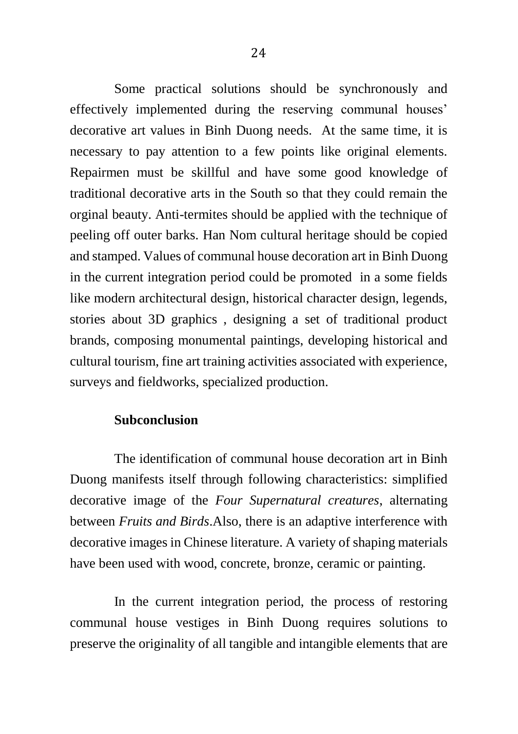Some practical solutions should be synchronously and effectively implemented during the reserving communal houses' decorative art values in Binh Duong needs. At the same time, it is necessary to pay attention to a few points like original elements. Repairmen must be skillful and have some good knowledge of traditional decorative arts in the South so that they could remain the orginal beauty. Anti-termites should be applied with the technique of peeling off outer barks. Han Nom cultural heritage should be copied and stamped. Values of communal house decoration art in Binh Duong in the current integration period could be promoted in a some fields like modern architectural design, historical character design, legends, stories about 3D graphics , designing a set of traditional product brands, composing monumental paintings, developing historical and cultural tourism, fine art training activities associated with experience, surveys and fieldworks, specialized production.

#### **Subconclusion**

The identification of communal house decoration art in Binh Duong manifests itself through following characteristics: simplified decorative image of the *Four Supernatural creatures*, alternating between *Fruits and Birds*.Also, there is an adaptive interference with decorative images in Chinese literature. A variety of shaping materials have been used with wood, concrete, bronze, ceramic or painting.

In the current integration period, the process of restoring communal house vestiges in Binh Duong requires solutions to preserve the originality of all tangible and intangible elements that are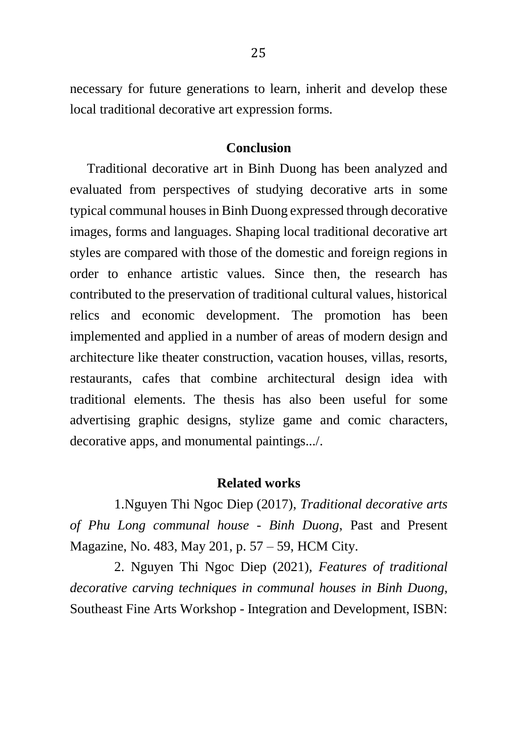necessary for future generations to learn, inherit and develop these local traditional decorative art expression forms.

#### **Conclusion**

 Traditional decorative art in Binh Duong has been analyzed and evaluated from perspectives of studying decorative arts in some typical communal houses in Binh Duong expressed through decorative images, forms and languages. Shaping local traditional decorative art styles are compared with those of the domestic and foreign regions in order to enhance artistic values. Since then, the research has contributed to the preservation of traditional cultural values, historical relics and economic development. The promotion has been implemented and applied in a number of areas of modern design and architecture like theater construction, vacation houses, villas, resorts, restaurants, cafes that combine architectural design idea with traditional elements. The thesis has also been useful for some advertising graphic designs, stylize game and comic characters, decorative apps, and monumental paintings.../.

#### **Related works**

1.Nguyen Thi Ngoc Diep (2017), *Traditional decorative arts of Phu Long communal house - Binh Duong*, Past and Present Magazine, No. 483, May 201, p. 57 – 59, HCM City.

2. Nguyen Thi Ngoc Diep (2021), *Features of traditional decorative carving techniques in communal houses in Binh Duong*, Southeast Fine Arts Workshop - Integration and Development, ISBN: